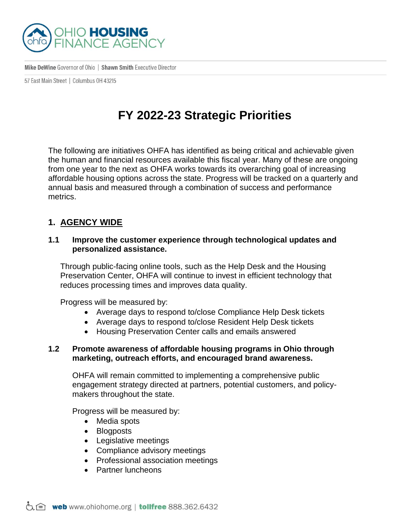

Mike DeWine Governor of Ohio | Shawn Smith Executive Director

57 East Main Street | Columbus 0H 43215

# **FY 2022-23 Strategic Priorities**

The following are initiatives OHFA has identified as being critical and achievable given the human and financial resources available this fiscal year. Many of these are ongoing from one year to the next as OHFA works towards its overarching goal of increasing affordable housing options across the state. Progress will be tracked on a quarterly and annual basis and measured through a combination of success and performance metrics.

# **1. AGENCY WIDE**

## **1.1 Improve the customer experience through technological updates and personalized assistance.**

Through public-facing online tools, such as the Help Desk and the Housing Preservation Center, OHFA will continue to invest in efficient technology that reduces processing times and improves data quality.

Progress will be measured by:

- Average days to respond to/close Compliance Help Desk tickets
- Average days to respond to/close Resident Help Desk tickets
- Housing Preservation Center calls and emails answered

## **1.2 Promote awareness of affordable housing programs in Ohio through marketing, outreach efforts, and encouraged brand awareness.**

OHFA will remain committed to implementing a comprehensive public engagement strategy directed at partners, potential customers, and policymakers throughout the state.

Progress will be measured by:

- Media spots
- Blogposts
- Legislative meetings
- Compliance advisory meetings
- Professional association meetings
- Partner luncheons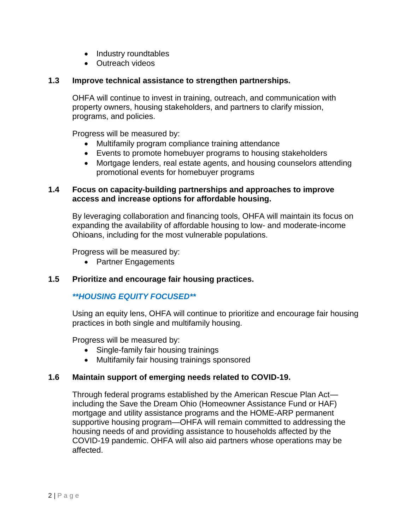- Industry roundtables
- Outreach videos

## **1.3 Improve technical assistance to strengthen partnerships.**

OHFA will continue to invest in training, outreach, and communication with property owners, housing stakeholders, and partners to clarify mission, programs, and policies.

Progress will be measured by:

- Multifamily program compliance training attendance
- Events to promote homebuyer programs to housing stakeholders
- Mortgage lenders, real estate agents, and housing counselors attending promotional events for homebuyer programs

## **1.4 Focus on capacity-building partnerships and approaches to improve access and increase options for affordable housing.**

By leveraging collaboration and financing tools, OHFA will maintain its focus on expanding the availability of affordable housing to low- and moderate-income Ohioans, including for the most vulnerable populations.

Progress will be measured by:

• Partner Engagements

## **1.5 Prioritize and encourage fair housing practices.**

# *\*\*HOUSING EQUITY FOCUSED\*\**

Using an equity lens, OHFA will continue to prioritize and encourage fair housing practices in both single and multifamily housing.

Progress will be measured by:

- Single-family fair housing trainings
- Multifamily fair housing trainings sponsored

## **1.6 Maintain support of emerging needs related to COVID-19.**

Through federal programs established by the American Rescue Plan Act including the Save the Dream Ohio (Homeowner Assistance Fund or HAF) mortgage and utility assistance programs and the HOME-ARP permanent supportive housing program—OHFA will remain committed to addressing the housing needs of and providing assistance to households affected by the COVID-19 pandemic. OHFA will also aid partners whose operations may be affected.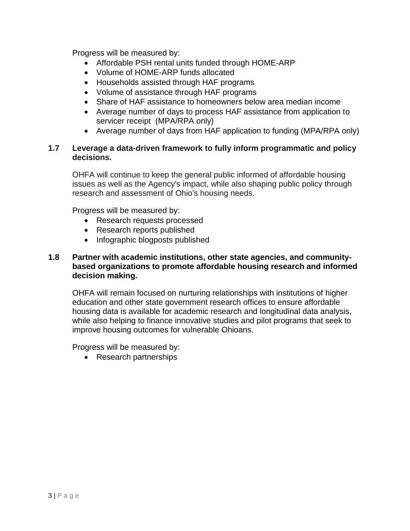Progress will be measured by:

- Affordable PSH rental units funded through HOME-ARP
- Volume of HOME-ARP funds allocated
- Households assisted through HAF programs
- Volume of assistance through HAF programs
- Share of HAF assistance to homeowners below area median income
- Average number of days to process HAF assistance from application to servicer receipt (MPA/RPA only)
- Average number of days from HAF application to funding (MPA/RPA only)

## **1.7 Leverage a data-driven framework to fully inform programmatic and policy decisions.**

OHFA will continue to keep the general public informed of affordable housing issues as well as the Agency's impact, while also shaping public policy through research and assessment of Ohio's housing needs.

Progress will be measured by:

- Research requests processed
- Research reports published
- Infographic blogposts published

## **1.8 Partner with academic institutions, other state agencies, and communitybased organizations to promote affordable housing research and informed decision making.**

OHFA will remain focused on nurturing relationships with institutions of higher education and other state government research offices to ensure affordable housing data is available for academic research and longitudinal data analysis, while also helping to finance innovative studies and pilot programs that seek to improve housing outcomes for vulnerable Ohioans.

Progress will be measured by:

• Research partnerships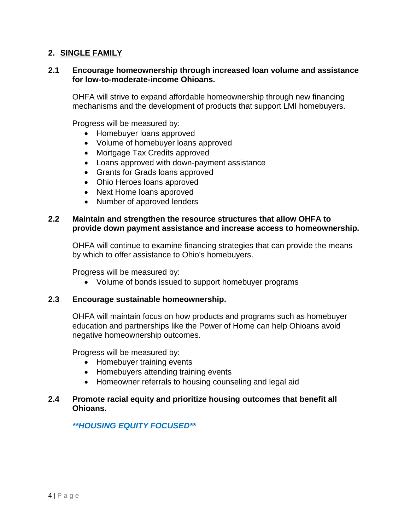## **2. SINGLE FAMILY**

#### **2.1 Encourage homeownership through increased loan volume and assistance for low-to-moderate-income Ohioans.**

OHFA will strive to expand affordable homeownership through new financing mechanisms and the development of products that support LMI homebuyers.

Progress will be measured by:

- Homebuyer loans approved
- Volume of homebuyer loans approved
- Mortgage Tax Credits approved
- Loans approved with down-payment assistance
- Grants for Grads loans approved
- Ohio Heroes loans approved
- Next Home loans approved
- Number of approved lenders

#### **2.2 Maintain and strengthen the resource structures that allow OHFA to provide down payment assistance and increase access to homeownership.**

OHFA will continue to examine financing strategies that can provide the means by which to offer assistance to Ohio's homebuyers.

Progress will be measured by:

Volume of bonds issued to support homebuyer programs

#### **2.3 Encourage sustainable homeownership.**

OHFA will maintain focus on how products and programs such as homebuyer education and partnerships like the Power of Home can help Ohioans avoid negative homeownership outcomes.

Progress will be measured by:

- Homebuyer training events
- Homebuyers attending training events
- Homeowner referrals to housing counseling and legal aid

## **2.4 Promote racial equity and prioritize housing outcomes that benefit all Ohioans.**

## *\*\*HOUSING EQUITY FOCUSED\*\**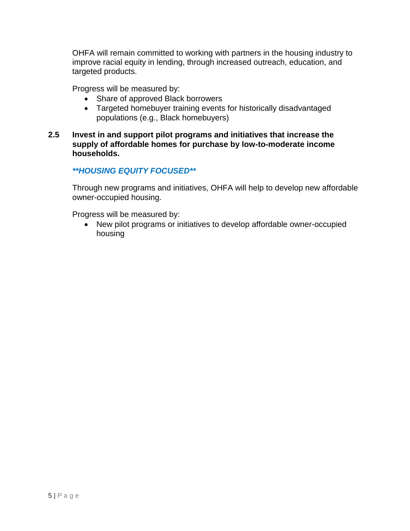OHFA will remain committed to working with partners in the housing industry to improve racial equity in lending, through increased outreach, education, and targeted products.

Progress will be measured by:

- Share of approved Black borrowers
- Targeted homebuyer training events for historically disadvantaged populations (e.g., Black homebuyers)
- **2.5 Invest in and support pilot programs and initiatives that increase the supply of affordable homes for purchase by low-to-moderate income households.**

## *\*\*HOUSING EQUITY FOCUSED\*\**

Through new programs and initiatives, OHFA will help to develop new affordable owner-occupied housing.

Progress will be measured by:

 New pilot programs or initiatives to develop affordable owner-occupied housing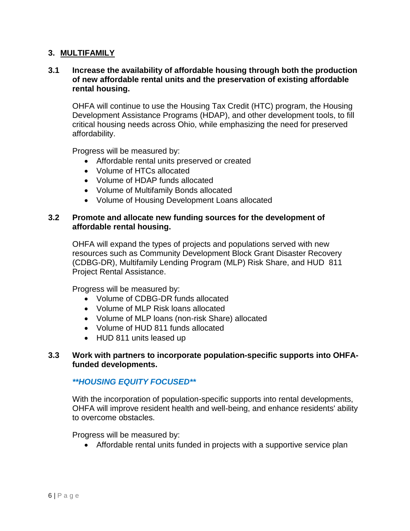### **3. MULTIFAMILY**

## **3.1 Increase the availability of affordable housing through both the production of new affordable rental units and the preservation of existing affordable rental housing.**

OHFA will continue to use the Housing Tax Credit (HTC) program, the Housing Development Assistance Programs (HDAP), and other development tools, to fill critical housing needs across Ohio, while emphasizing the need for preserved affordability.

Progress will be measured by:

- Affordable rental units preserved or created
- Volume of HTCs allocated
- Volume of HDAP funds allocated
- Volume of Multifamily Bonds allocated
- Volume of Housing Development Loans allocated

#### **3.2 Promote and allocate new funding sources for the development of affordable rental housing.**

OHFA will expand the types of projects and populations served with new resources such as Community Development Block Grant Disaster Recovery (CDBG-DR), Multifamily Lending Program (MLP) Risk Share, and HUD 811 Project Rental Assistance.

Progress will be measured by:

- Volume of CDBG-DR funds allocated
- Volume of MLP Risk loans allocated
- Volume of MLP loans (non-risk Share) allocated
- Volume of HUD 811 funds allocated
- HUD 811 units leased up

### **3.3 Work with partners to incorporate population-specific supports into OHFAfunded developments.**

#### *\*\*HOUSING EQUITY FOCUSED\*\**

With the incorporation of population-specific supports into rental developments, OHFA will improve resident health and well-being, and enhance residents' ability to overcome obstacles.

Progress will be measured by:

Affordable rental units funded in projects with a supportive service plan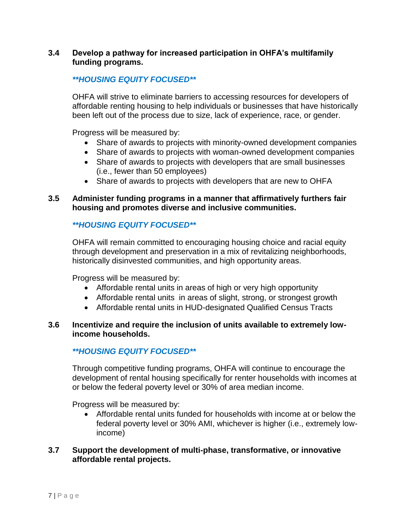## **3.4 Develop a pathway for increased participation in OHFA's multifamily funding programs.**

## *\*\*HOUSING EQUITY FOCUSED\*\**

OHFA will strive to eliminate barriers to accessing resources for developers of affordable renting housing to help individuals or businesses that have historically been left out of the process due to size, lack of experience, race, or gender.

Progress will be measured by:

- Share of awards to projects with minority-owned development companies
- Share of awards to projects with woman-owned development companies
- Share of awards to projects with developers that are small businesses (i.e., fewer than 50 employees)
- Share of awards to projects with developers that are new to OHFA

## **3.5 Administer funding programs in a manner that affirmatively furthers fair housing and promotes diverse and inclusive communities.**

# *\*\*HOUSING EQUITY FOCUSED\*\**

OHFA will remain committed to encouraging housing choice and racial equity through development and preservation in a mix of revitalizing neighborhoods, historically disinvested communities, and high opportunity areas.

Progress will be measured by:

- Affordable rental units in areas of high or very high opportunity
- Affordable rental units in areas of slight, strong, or strongest growth
- Affordable rental units in HUD-designated Qualified Census Tracts

### **3.6 Incentivize and require the inclusion of units available to extremely lowincome households.**

# *\*\*HOUSING EQUITY FOCUSED\*\**

Through competitive funding programs, OHFA will continue to encourage the development of rental housing specifically for renter households with incomes at or below the federal poverty level or 30% of area median income.

Progress will be measured by:

 Affordable rental units funded for households with income at or below the federal poverty level or 30% AMI, whichever is higher (i.e., extremely lowincome)

## **3.7 Support the development of multi-phase, transformative, or innovative affordable rental projects.**